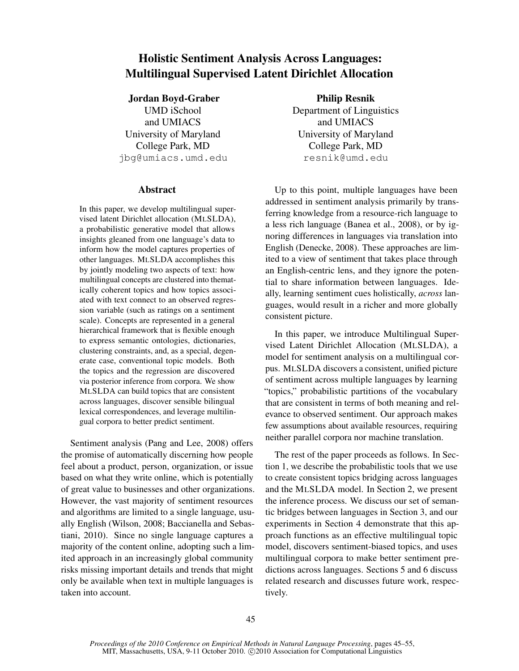# Holistic Sentiment Analysis Across Languages: Multilingual Supervised Latent Dirichlet Allocation

# Jordan Boyd-Graber

UMD iSchool and UMIACS University of Maryland College Park, MD jbg@umiacs.umd.edu

#### Abstract

In this paper, we develop multilingual supervised latent Dirichlet allocation (MLSLDA), a probabilistic generative model that allows insights gleaned from one language's data to inform how the model captures properties of other languages. MLSLDA accomplishes this by jointly modeling two aspects of text: how multilingual concepts are clustered into thematically coherent topics and how topics associated with text connect to an observed regression variable (such as ratings on a sentiment scale). Concepts are represented in a general hierarchical framework that is flexible enough to express semantic ontologies, dictionaries, clustering constraints, and, as a special, degenerate case, conventional topic models. Both the topics and the regression are discovered via posterior inference from corpora. We show MLSLDA can build topics that are consistent across languages, discover sensible bilingual lexical correspondences, and leverage multilingual corpora to better predict sentiment.

Sentiment analysis (Pang and Lee, 2008) offers the promise of automatically discerning how people feel about a product, person, organization, or issue based on what they write online, which is potentially of great value to businesses and other organizations. However, the vast majority of sentiment resources and algorithms are limited to a single language, usually English (Wilson, 2008; Baccianella and Sebastiani, 2010). Since no single language captures a majority of the content online, adopting such a limited approach in an increasingly global community risks missing important details and trends that might only be available when text in multiple languages is taken into account.

Philip Resnik Department of Linguistics and UMIACS University of Maryland College Park, MD resnik@umd.edu

Up to this point, multiple languages have been addressed in sentiment analysis primarily by transferring knowledge from a resource-rich language to a less rich language (Banea et al., 2008), or by ignoring differences in languages via translation into English (Denecke, 2008). These approaches are limited to a view of sentiment that takes place through an English-centric lens, and they ignore the potential to share information between languages. Ideally, learning sentiment cues holistically, *across* languages, would result in a richer and more globally consistent picture.

In this paper, we introduce Multilingual Supervised Latent Dirichlet Allocation (MLSLDA), a model for sentiment analysis on a multilingual corpus. MLSLDA discovers a consistent, unified picture of sentiment across multiple languages by learning "topics," probabilistic partitions of the vocabulary that are consistent in terms of both meaning and relevance to observed sentiment. Our approach makes few assumptions about available resources, requiring neither parallel corpora nor machine translation.

The rest of the paper proceeds as follows. In Section 1, we describe the probabilistic tools that we use to create consistent topics bridging across languages and the MLSLDA model. In Section 2, we present the inference process. We discuss our set of semantic bridges between languages in Section 3, and our experiments in Section 4 demonstrate that this approach functions as an effective multilingual topic model, discovers sentiment-biased topics, and uses multilingual corpora to make better sentiment predictions across languages. Sections 5 and 6 discuss related research and discusses future work, respectively.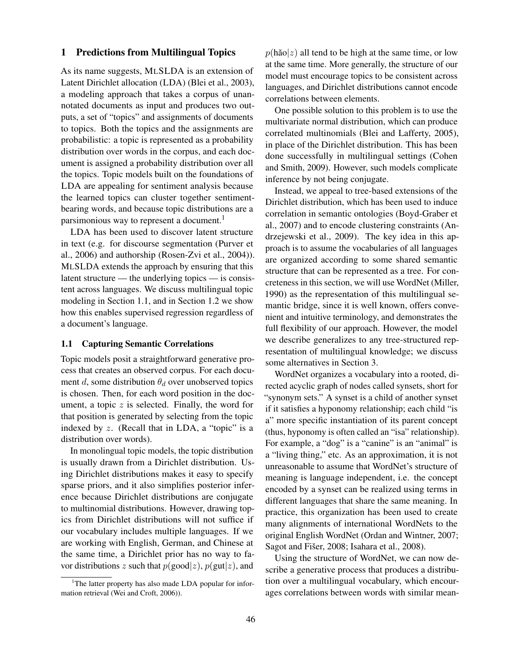# 1 Predictions from Multilingual Topics

As its name suggests, MLSLDA is an extension of Latent Dirichlet allocation (LDA) (Blei et al., 2003), a modeling approach that takes a corpus of unannotated documents as input and produces two outputs, a set of "topics" and assignments of documents to topics. Both the topics and the assignments are probabilistic: a topic is represented as a probability distribution over words in the corpus, and each document is assigned a probability distribution over all the topics. Topic models built on the foundations of LDA are appealing for sentiment analysis because the learned topics can cluster together sentimentbearing words, and because topic distributions are a parsimonious way to represent a document.<sup>1</sup>

LDA has been used to discover latent structure in text (e.g. for discourse segmentation (Purver et al., 2006) and authorship (Rosen-Zvi et al., 2004)). MLSLDA extends the approach by ensuring that this latent structure — the underlying topics — is consistent across languages. We discuss multilingual topic modeling in Section 1.1, and in Section 1.2 we show how this enables supervised regression regardless of a document's language.

#### 1.1 Capturing Semantic Correlations

Topic models posit a straightforward generative process that creates an observed corpus. For each document d, some distribution  $\theta_d$  over unobserved topics is chosen. Then, for each word position in the document, a topic  $z$  is selected. Finally, the word for that position is generated by selecting from the topic indexed by  $z$ . (Recall that in LDA, a "topic" is a distribution over words).

In monolingual topic models, the topic distribution is usually drawn from a Dirichlet distribution. Using Dirichlet distributions makes it easy to specify sparse priors, and it also simplifies posterior inference because Dirichlet distributions are conjugate to multinomial distributions. However, drawing topics from Dirichlet distributions will not suffice if our vocabulary includes multiple languages. If we are working with English, German, and Chinese at the same time, a Dirichlet prior has no way to favor distributions z such that  $p(good|z)$ ,  $p(gut|z)$ , and

 $p(h\text{ao}|z)$  all tend to be high at the same time, or low at the same time. More generally, the structure of our model must encourage topics to be consistent across languages, and Dirichlet distributions cannot encode correlations between elements.

One possible solution to this problem is to use the multivariate normal distribution, which can produce correlated multinomials (Blei and Lafferty, 2005), in place of the Dirichlet distribution. This has been done successfully in multilingual settings (Cohen and Smith, 2009). However, such models complicate inference by not being conjugate.

Instead, we appeal to tree-based extensions of the Dirichlet distribution, which has been used to induce correlation in semantic ontologies (Boyd-Graber et al., 2007) and to encode clustering constraints (Andrzejewski et al., 2009). The key idea in this approach is to assume the vocabularies of all languages are organized according to some shared semantic structure that can be represented as a tree. For concreteness in this section, we will use WordNet (Miller, 1990) as the representation of this multilingual semantic bridge, since it is well known, offers convenient and intuitive terminology, and demonstrates the full flexibility of our approach. However, the model we describe generalizes to any tree-structured representation of multilingual knowledge; we discuss some alternatives in Section 3.

WordNet organizes a vocabulary into a rooted, directed acyclic graph of nodes called synsets, short for "synonym sets." A synset is a child of another synset if it satisfies a hyponomy relationship; each child "is a" more specific instantiation of its parent concept (thus, hyponomy is often called an "isa" relationship). For example, a "dog" is a "canine" is an "animal" is a "living thing," etc. As an approximation, it is not unreasonable to assume that WordNet's structure of meaning is language independent, i.e. the concept encoded by a synset can be realized using terms in different languages that share the same meaning. In practice, this organization has been used to create many alignments of international WordNets to the original English WordNet (Ordan and Wintner, 2007; Sagot and Fišer, 2008; Isahara et al., 2008).

Using the structure of WordNet, we can now describe a generative process that produces a distribution over a multilingual vocabulary, which encourages correlations between words with similar mean-

<sup>&</sup>lt;sup>1</sup>The latter property has also made LDA popular for information retrieval (Wei and Croft, 2006)).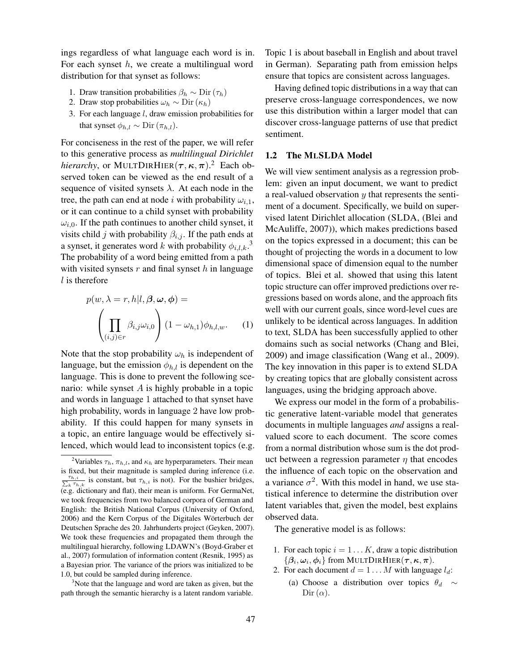ings regardless of what language each word is in. For each synset  $h$ , we create a multilingual word distribution for that synset as follows:

- 1. Draw transition probabilities  $\beta_h \sim \text{Dir}(\tau_h)$
- 2. Draw stop probabilities  $\omega_h \sim \text{Dir}(\kappa_h)$
- 3. For each language l, draw emission probabilities for that synset  $\phi_{h,l} \sim \text{Dir}(\pi_{h,l})$ .

For conciseness in the rest of the paper, we will refer to this generative process as *multilingual Dirichlet hierarchy*, or MULTDIRHIER $(\tau, \kappa, \pi)$ .<sup>2</sup> Each observed token can be viewed as the end result of a sequence of visited synsets  $\lambda$ . At each node in the tree, the path can end at node i with probability  $\omega_{i,1}$ , or it can continue to a child synset with probability  $\omega_{i,0}$ . If the path continues to another child synset, it visits child j with probability  $\beta_{i,j}$ . If the path ends at a synset, it generates word k with probability  $\phi_{i,l,k}$ .<sup>3</sup> The probability of a word being emitted from a path with visited synsets  $r$  and final synset  $h$  in language  $l$  is therefore

$$
p(w, \lambda = r, h | l, \beta, \omega, \phi) =
$$

$$
\left(\prod_{(i,j) \in r} \beta_{i,j} \omega_{i,0}\right) (1 - \omega_{h,1}) \phi_{h,l,w}.
$$
 (1)

Note that the stop probability  $\omega_h$  is independent of language, but the emission  $\phi_{h,l}$  is dependent on the language. This is done to prevent the following scenario: while synset  $A$  is highly probable in a topic and words in language 1 attached to that synset have high probability, words in language 2 have low probability. If this could happen for many synsets in a topic, an entire language would be effectively silenced, which would lead to inconsistent topics (e.g.

<sup>3</sup>Note that the language and word are taken as given, but the path through the semantic hierarchy is a latent random variable. Topic 1 is about baseball in English and about travel in German). Separating path from emission helps ensure that topics are consistent across languages.

Having defined topic distributions in a way that can preserve cross-language correspondences, we now use this distribution within a larger model that can discover cross-language patterns of use that predict sentiment.

# 1.2 The MLSLDA Model

We will view sentiment analysis as a regression problem: given an input document, we want to predict a real-valued observation  $y$  that represents the sentiment of a document. Specifically, we build on supervised latent Dirichlet allocation (SLDA, (Blei and McAuliffe, 2007)), which makes predictions based on the topics expressed in a document; this can be thought of projecting the words in a document to low dimensional space of dimension equal to the number of topics. Blei et al. showed that using this latent topic structure can offer improved predictions over regressions based on words alone, and the approach fits well with our current goals, since word-level cues are unlikely to be identical across languages. In addition to text, SLDA has been successfully applied to other domains such as social networks (Chang and Blei, 2009) and image classification (Wang et al., 2009). The key innovation in this paper is to extend SLDA by creating topics that are globally consistent across languages, using the bridging approach above.

We express our model in the form of a probabilistic generative latent-variable model that generates documents in multiple languages *and* assigns a realvalued score to each document. The score comes from a normal distribution whose sum is the dot product between a regression parameter  $\eta$  that encodes the influence of each topic on the observation and a variance  $\sigma^2$ . With this model in hand, we use statistical inference to determine the distribution over latent variables that, given the model, best explains observed data.

The generative model is as follows:

- 1. For each topic  $i = 1...K$ , draw a topic distribution  $\{\boldsymbol{\beta}_i,\boldsymbol{\omega}_i,\boldsymbol{\phi}_i\}$  from MULTDIRHIER $(\boldsymbol{\tau},\boldsymbol{\kappa},\boldsymbol{\pi}).$
- 2. For each document  $d = 1 \dots M$  with language  $l_d$ : (a) Choose a distribution over topics  $\theta_d \sim$ Dir  $(\alpha)$ .

<sup>&</sup>lt;sup>2</sup>Variables  $\tau_h$ ,  $\pi_{h,l}$ , and  $\kappa_h$  are hyperparameters. Their mean is fixed, but their magnitude is sampled during inference (i.e.  $\frac{\tau_{h,i}}{\sum_{k}\tau_h}$  $\frac{r_{h,i}}{k^{\tau_{h,k}}}$  is constant, but  $\tau_{h,i}$  is not). For the bushier bridges, (e.g. dictionary and flat), their mean is uniform. For GermaNet, we took frequencies from two balanced corpora of German and English: the British National Corpus (University of Oxford, 2006) and the Kern Corpus of the Digitales Wörterbuch der Deutschen Sprache des 20. Jahrhunderts project (Geyken, 2007). We took these frequencies and propagated them through the multilingual hierarchy, following LDAWN's (Boyd-Graber et al., 2007) formulation of information content (Resnik, 1995) as a Bayesian prior. The variance of the priors was initialized to be 1.0, but could be sampled during inference.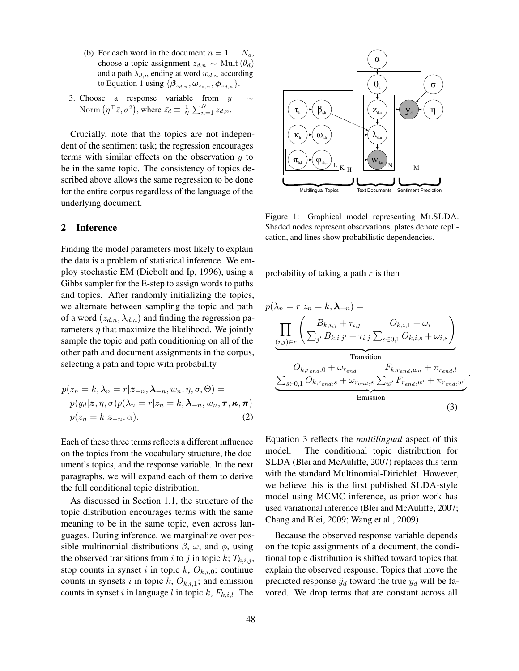- (b) For each word in the document  $n = 1 \dots N_d$ , choose a topic assignment  $z_{d,n} \sim \text{Mult}(\theta_d)$ and a path  $\lambda_{d,n}$  ending at word  $w_{d,n}$  according to Equation 1 using  $\{\beta_{z_{d,n}}, \omega_{z_{d,n}}, \phi_{z_{d,n}}\}.$
- 3. Choose a response variable from  $y \sim$ Norm  $(\eta^{\top} \bar{z}, \sigma^2)$ , where  $\bar{z_d} \equiv \frac{1}{N} \sum_{n=1}^{N} z_{d,n}$ .

Crucially, note that the topics are not independent of the sentiment task; the regression encourages terms with similar effects on the observation  $y$  to be in the same topic. The consistency of topics described above allows the same regression to be done for the entire corpus regardless of the language of the underlying document.

# 2 Inference

Finding the model parameters most likely to explain the data is a problem of statistical inference. We employ stochastic EM (Diebolt and Ip, 1996), using a Gibbs sampler for the E-step to assign words to paths and topics. After randomly initializing the topics, we alternate between sampling the topic and path of a word  $(z_{d,n}, \lambda_{d,n})$  and finding the regression parameters  $\eta$  that maximize the likelihood. We jointly sample the topic and path conditioning on all of the other path and document assignments in the corpus, selecting a path and topic with probability

$$
p(z_n = k, \lambda_n = r | \mathbf{z}_{-n}, \mathbf{\lambda}_{-n}, w_n, \eta, \sigma, \Theta) =
$$
  
\n
$$
p(y_d | \mathbf{z}, \eta, \sigma) p(\lambda_n = r | z_n = k, \mathbf{\lambda}_{-n}, w_n, \boldsymbol{\tau}, \boldsymbol{\kappa}, \boldsymbol{\pi})
$$
  
\n
$$
p(z_n = k | \mathbf{z}_{-n}, \alpha).
$$
 (2)

Each of these three terms reflects a different influence on the topics from the vocabulary structure, the document's topics, and the response variable. In the next paragraphs, we will expand each of them to derive the full conditional topic distribution.

As discussed in Section 1.1, the structure of the topic distribution encourages terms with the same meaning to be in the same topic, even across languages. During inference, we marginalize over possible multinomial distributions  $\beta$ ,  $\omega$ , and  $\phi$ , using the observed transitions from i to j in topic k;  $T_{k,i,j}$ , stop counts in synset i in topic k,  $O_{k,i,0}$ ; continue counts in synsets i in topic k,  $O_{k,i,1}$ ; and emission counts in synset i in language l in topic k,  $F_{k,i,l}$ . The



Figure 1: Graphical model representing MLSLDA. Shaded nodes represent observations, plates denote replication, and lines show probabilistic dependencies.

probability of taking a path  $r$  is then

$$
p(\lambda_n = r | z_n = k, \lambda_{-n}) =
$$
\n
$$
\prod_{(i,j) \in r} \left( \frac{B_{k,i,j} + \tau_{i,j}}{\sum_{j'} B_{k,i,j'} + \tau_{i,j}} \frac{O_{k,i,1} + \omega_i}{\sum_{s \in 0,1} O_{k,i,s} + \omega_{i,s}} \right)
$$
\n
$$
\underbrace{O_{k,rend,0} + \omega_{rend}}_{\text{transition}} + \underbrace{F_{k,rend, w_n} + \pi_{rend, l}}_{\text{Emission}} \frac{O_{k,rend, s} + \omega_{rend, s}}{\sum_{s \in 0,1} O_{k, rend, s} + \omega_{rend, s}} \cdot \frac{O_{k, rend, w_n}}{\sum_{s \in 0,1} O_{k, rend, s}} \cdot \frac{O_{k, rend, w_n}}{\sum_{s \in 0,1} O_{k, read, s}} \cdot \frac{O_{k, read, w_n}}{\sum_{s \in 0,1} O_{k, read, s}} \cdot \frac{O_{k, read, w_n}}{\sum_{s \in 0,1} O_{k, read, s}} \cdot \frac{O_{k, read, w_n}}{\sum_{s \in 0,1} O_{k, read, s}} \cdot \frac{O_{k, read, w_n}}{\sum_{s \in 0,1} O_{k, read, s}} \cdot \frac{O_{k, read, w_n}}{\sum_{s \in 0,1} O_{k, read, s}} \cdot \frac{O_{k, read, w_n}}{\sum_{s \in 0,1} O_{k, read, s}} \cdot \frac{O_{k, read, w_n}}{\sum_{s \in 0,1} O_{k, read, s}} \cdot \frac{O_{k, read, w_n}}{\sum_{s \in 0,1} O_{k, read, s}} \cdot \frac{O_{k, read, w_n}}{\sum_{s \in 0,1} O_{k, read, s}} \cdot \frac{O_{k, read, w_n}}{\sum_{s \in 0,1} O_{k, read, s}} \cdot \frac{O_{k, read, w_n}}{\sum_{s \in 0,1} O_{k, read, s}} \cdot \frac{O_{k, read, w_n}}{\sum_{s \in 0,1} O_{k, read, s}} \cdot \frac{O_{k, read, w_n}}{\sum_{s \in 0,1} O_{k, read, s}} \cdot \frac{O_{k, read, w_n}}{\sum_{s \in 0,1} O_{k, read, s}} \cdot \frac{O
$$

.

Equation 3 reflects the *multilingual* aspect of this model. The conditional topic distribution for SLDA (Blei and McAuliffe, 2007) replaces this term with the standard Multinomial-Dirichlet. However, we believe this is the first published SLDA-style model using MCMC inference, as prior work has used variational inference (Blei and McAuliffe, 2007; Chang and Blei, 2009; Wang et al., 2009).

Because the observed response variable depends on the topic assignments of a document, the conditional topic distribution is shifted toward topics that explain the observed response. Topics that move the predicted response  $\hat{y}_d$  toward the true  $y_d$  will be favored. We drop terms that are constant across all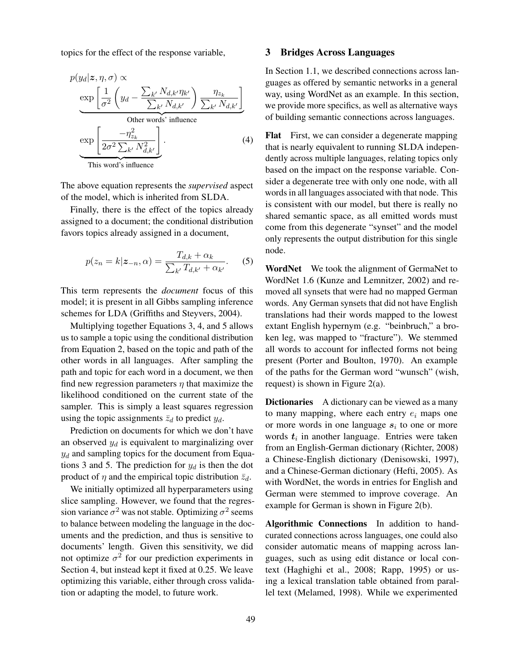topics for the effect of the response variable,

$$
p(y_d | z, \eta, \sigma) \propto
$$
  
\n
$$
\underbrace{\exp\left[\frac{1}{\sigma^2} \left(y_d - \frac{\sum_{k'} N_{d,k'} \eta_{k'}}{\sum_{k'} N_{d,k'}}\right) \frac{\eta_{z_k}}{\sum_{k'} N_{d,k'}}\right]}_{\text{Other words' influence}}
$$
  
\n
$$
\underbrace{\exp\left[\frac{-\eta_{z_k}^2}{2\sigma^2 \sum_{k'} N_{d,k'}^2}\right]}_{\text{This word's influence}}.
$$
\n(4)

The above equation represents the *supervised* aspect of the model, which is inherited from SLDA.

Finally, there is the effect of the topics already assigned to a document; the conditional distribution favors topics already assigned in a document,

$$
p(z_n = k | \mathbf{z}_{-n}, \alpha) = \frac{T_{d,k} + \alpha_k}{\sum_{k'} T_{d,k'} + \alpha_{k'}}.
$$
 (5)

This term represents the *document* focus of this model; it is present in all Gibbs sampling inference schemes for LDA (Griffiths and Steyvers, 2004).

Multiplying together Equations 3, 4, and 5 allows us to sample a topic using the conditional distribution from Equation 2, based on the topic and path of the other words in all languages. After sampling the path and topic for each word in a document, we then find new regression parameters  $\eta$  that maximize the likelihood conditioned on the current state of the sampler. This is simply a least squares regression using the topic assignments  $\bar{z}_d$  to predict  $y_d$ .

Prediction on documents for which we don't have an observed  $y_d$  is equivalent to marginalizing over  $y_d$  and sampling topics for the document from Equations 3 and 5. The prediction for  $y_d$  is then the dot product of  $\eta$  and the empirical topic distribution  $\bar{z}_d$ .

We initially optimized all hyperparameters using slice sampling. However, we found that the regression variance  $\sigma^2$  was not stable. Optimizing  $\sigma^2$  seems to balance between modeling the language in the documents and the prediction, and thus is sensitive to documents' length. Given this sensitivity, we did not optimize  $\sigma^2$  for our prediction experiments in Section 4, but instead kept it fixed at 0.25. We leave optimizing this variable, either through cross validation or adapting the model, to future work.

# 3 Bridges Across Languages

In Section 1.1, we described connections across languages as offered by semantic networks in a general way, using WordNet as an example. In this section, we provide more specifics, as well as alternative ways of building semantic connections across languages.

Flat First, we can consider a degenerate mapping that is nearly equivalent to running SLDA independently across multiple languages, relating topics only based on the impact on the response variable. Consider a degenerate tree with only one node, with all words in all languages associated with that node. This is consistent with our model, but there is really no shared semantic space, as all emitted words must come from this degenerate "synset" and the model only represents the output distribution for this single node.

WordNet We took the alignment of GermaNet to WordNet 1.6 (Kunze and Lemnitzer, 2002) and removed all synsets that were had no mapped German words. Any German synsets that did not have English translations had their words mapped to the lowest extant English hypernym (e.g. "beinbruch," a broken leg, was mapped to "fracture"). We stemmed all words to account for inflected forms not being present (Porter and Boulton, 1970). An example of the paths for the German word "wunsch" (wish, request) is shown in Figure 2(a).

Dictionaries A dictionary can be viewed as a many to many mapping, where each entry  $e_i$  maps one or more words in one language  $s_i$  to one or more words  $t_i$  in another language. Entries were taken from an English-German dictionary (Richter, 2008) a Chinese-English dictionary (Denisowski, 1997), and a Chinese-German dictionary (Hefti, 2005). As with WordNet, the words in entries for English and German were stemmed to improve coverage. An example for German is shown in Figure 2(b).

Algorithmic Connections In addition to handcurated connections across languages, one could also consider automatic means of mapping across languages, such as using edit distance or local context (Haghighi et al., 2008; Rapp, 1995) or using a lexical translation table obtained from parallel text (Melamed, 1998). While we experimented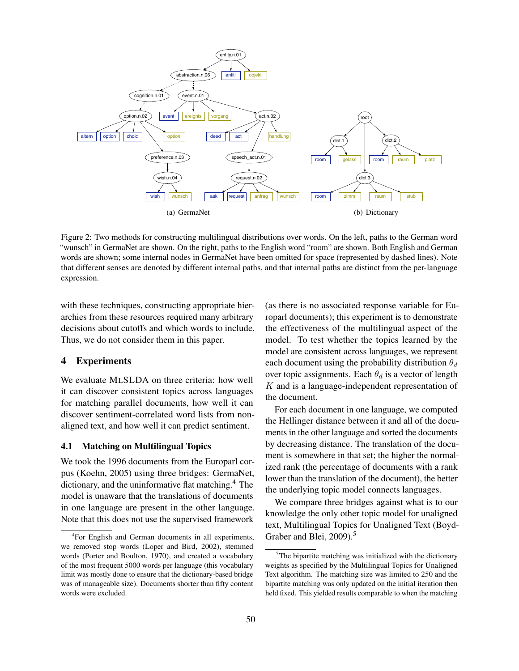

Figure 2: Two methods for constructing multilingual distributions over words. On the left, paths to the German word "wunsch" in GermaNet are shown. On the right, paths to the English word "room" are shown. Both English and German words are shown; some internal nodes in GermaNet have been omitted for space (represented by dashed lines). Note that different senses are denoted by different internal paths, and that internal paths are distinct from the per-language expression.

with these techniques, constructing appropriate hierarchies from these resources required many arbitrary decisions about cutoffs and which words to include. Thus, we do not consider them in this paper.

# 4 Experiments

We evaluate MLSLDA on three criteria: how well it can discover consistent topics across languages for matching parallel documents, how well it can discover sentiment-correlated word lists from nonaligned text, and how well it can predict sentiment.

#### 4.1 Matching on Multilingual Topics

We took the 1996 documents from the Europarl corpus (Koehn, 2005) using three bridges: GermaNet, dictionary, and the uninformative flat matching.<sup>4</sup> The model is unaware that the translations of documents in one language are present in the other language. Note that this does not use the supervised framework

(as there is no associated response variable for Europarl documents); this experiment is to demonstrate the effectiveness of the multilingual aspect of the model. To test whether the topics learned by the model are consistent across languages, we represent each document using the probability distribution  $\theta_d$ over topic assignments. Each  $\theta_d$  is a vector of length  $K$  and is a language-independent representation of the document.

For each document in one language, we computed the Hellinger distance between it and all of the documents in the other language and sorted the documents by decreasing distance. The translation of the document is somewhere in that set; the higher the normalized rank (the percentage of documents with a rank lower than the translation of the document), the better the underlying topic model connects languages.

We compare three bridges against what is to our knowledge the only other topic model for unaligned text, Multilingual Topics for Unaligned Text (Boyd-Graber and Blei, 2009).<sup>5</sup>

<sup>4</sup> For English and German documents in all experiments, we removed stop words (Loper and Bird, 2002), stemmed words (Porter and Boulton, 1970), and created a vocabulary of the most frequent 5000 words per language (this vocabulary limit was mostly done to ensure that the dictionary-based bridge was of manageable size). Documents shorter than fifty content words were excluded.

<sup>&</sup>lt;sup>5</sup>The bipartite matching was initialized with the dictionary weights as specified by the Multilingual Topics for Unaligned Text algorithm. The matching size was limited to 250 and the bipartite matching was only updated on the initial iteration then held fixed. This yielded results comparable to when the matching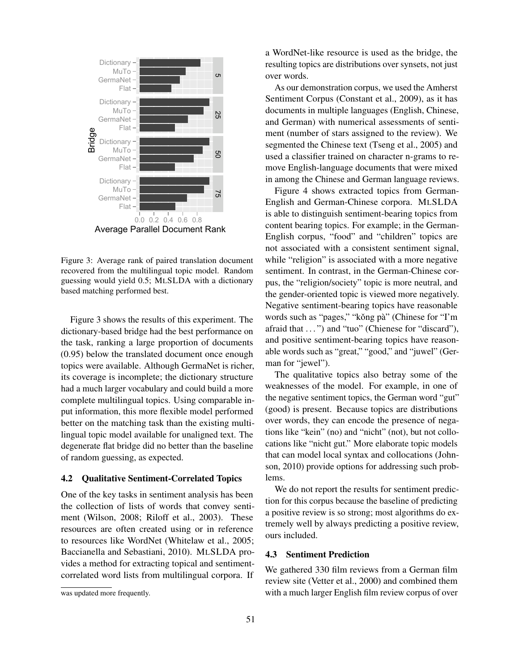

Figure 3: Average rank of paired translation document recovered from the multilingual topic model. Random guessing would yield 0.5; MLSLDA with a dictionary based matching performed best.

Figure 3 shows the results of this experiment. The dictionary-based bridge had the best performance on the task, ranking a large proportion of documents (0.95) below the translated document once enough topics were available. Although GermaNet is richer, its coverage is incomplete; the dictionary structure had a much larger vocabulary and could build a more complete multilingual topics. Using comparable input information, this more flexible model performed better on the matching task than the existing multilingual topic model available for unaligned text. The degenerate flat bridge did no better than the baseline of random guessing, as expected.

#### 4.2 Qualitative Sentiment-Correlated Topics

One of the key tasks in sentiment analysis has been the collection of lists of words that convey sentiment (Wilson, 2008; Riloff et al., 2003). These resources are often created using or in reference to resources like WordNet (Whitelaw et al., 2005; Baccianella and Sebastiani, 2010). MLSLDA provides a method for extracting topical and sentimentcorrelated word lists from multilingual corpora. If a WordNet-like resource is used as the bridge, the resulting topics are distributions over synsets, not just over words.

As our demonstration corpus, we used the Amherst Sentiment Corpus (Constant et al., 2009), as it has documents in multiple languages (English, Chinese, and German) with numerical assessments of sentiment (number of stars assigned to the review). We segmented the Chinese text (Tseng et al., 2005) and used a classifier trained on character n-grams to remove English-language documents that were mixed in among the Chinese and German language reviews.

Figure 4 shows extracted topics from German-English and German-Chinese corpora. MLSLDA is able to distinguish sentiment-bearing topics from content bearing topics. For example; in the German-English corpus, "food" and "children" topics are not associated with a consistent sentiment signal, while "religion" is associated with a more negative sentiment. In contrast, in the German-Chinese corpus, the "religion/society" topic is more neutral, and the gender-oriented topic is viewed more negatively. Negative sentiment-bearing topics have reasonable words such as "pages," "kǒng pà" (Chinese for "I'm afraid that . . . ") and "tuo" (Chienese for "discard"), and positive sentiment-bearing topics have reasonable words such as "great," "good," and "juwel" (German for "jewel").

The qualitative topics also betray some of the weaknesses of the model. For example, in one of the negative sentiment topics, the German word "gut" (good) is present. Because topics are distributions over words, they can encode the presence of negations like "kein" (no) and "nicht" (not), but not collocations like "nicht gut." More elaborate topic models that can model local syntax and collocations (Johnson, 2010) provide options for addressing such problems.

We do not report the results for sentiment prediction for this corpus because the baseline of predicting a positive review is so strong; most algorithms do extremely well by always predicting a positive review, ours included.

# 4.3 Sentiment Prediction

We gathered 330 film reviews from a German film review site (Vetter et al., 2000) and combined them with a much larger English film review corpus of over

was updated more frequently.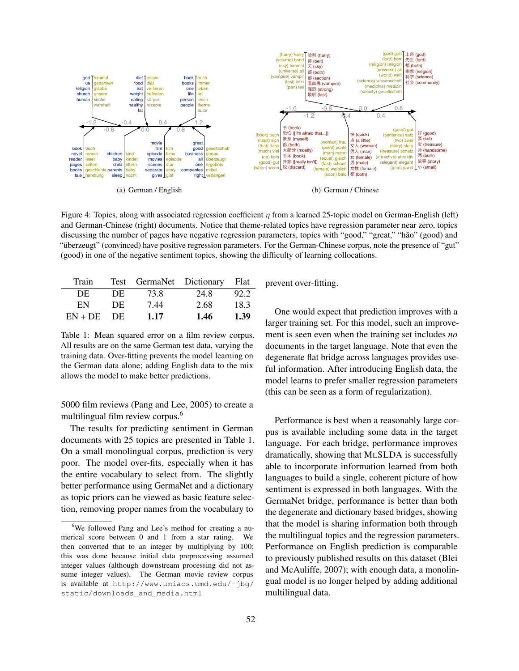

Figure 4: Topics, along with associated regression coefficient  $\eta$  from a learned 25-topic model on German-English (left) and German-Chinese (right) documents. Notice that theme-related topics have regression parameter near zero, topics discussing the number of pages have negative regression parameters, topics with "good," "great," "hǎo" (good) and "überzeugt" (convinced) have positive regression parameters. For the German-Chinese corpus, note the presence of "gut" (good) in one of the negative sentiment topics, showing the difficulty of learning collocations.

| Train     |     |      | Test GermaNet Dictionary | <b>Flat</b> |
|-----------|-----|------|--------------------------|-------------|
| DE        | DE  | 73.8 | 24.8                     | 92.2        |
| EN        | DE  | 7.44 | 2.68                     | 18.3        |
| $EN + DE$ | DE. | 1.17 | 1.46                     | 1.39        |

Table 1: Mean squared error on a film review corpus. All results are on the same German test data, varying the training data. Over-fitting prevents the model learning on the German data alone; adding English data to the mix allows the model to make better predictions.

5000 film reviews (Pang and Lee, 2005) to create a multilingual film review corpus.<sup>6</sup>

The results for predicting sentiment in German documents with 25 topics are presented in Table 1. On a small monolingual corpus, prediction is very poor. The model over-fits, especially when it has the entire vocabulary to select from. The slightly better performance using GermaNet and a dictionary as topic priors can be viewed as basic feature selection, removing proper names from the vocabulary to

prevent over-fitting.

One would expect that prediction improves with a larger training set. For this model, such an improvement is seen even when the training set includes *no* documents in the target language. Note that even the degenerate flat bridge across languages provides useful information. After introducing English data, the model learns to prefer smaller regression parameters (this can be seen as a form of regularization).

Performance is best when a reasonably large corpus is available including some data in the target language. For each bridge, performance improves dramatically, showing that MLSLDA is successfully able to incorporate information learned from both languages to build a single, coherent picture of how sentiment is expressed in both languages. With the GermaNet bridge, performance is better than both the degenerate and dictionary based bridges, showing that the model is sharing information both through the multilingual topics and the regression parameters. Performance on English prediction is comparable to previously published results on this dataset (Blei and McAuliffe, 2007); with enough data, a monolingual model is no longer helped by adding additional multilingual data.

<sup>&</sup>lt;sup>6</sup>We followed Pang and Lee's method for creating a numerical score between 0 and 1 from a star rating. We then converted that to an integer by multiplying by 100; this was done because initial data preprocessing assumed integer values (although downstream processing did not assume integer values). The German movie review corpus is available at http://www.umiacs.umd.edu/˜jbg/ static/downloads and media.html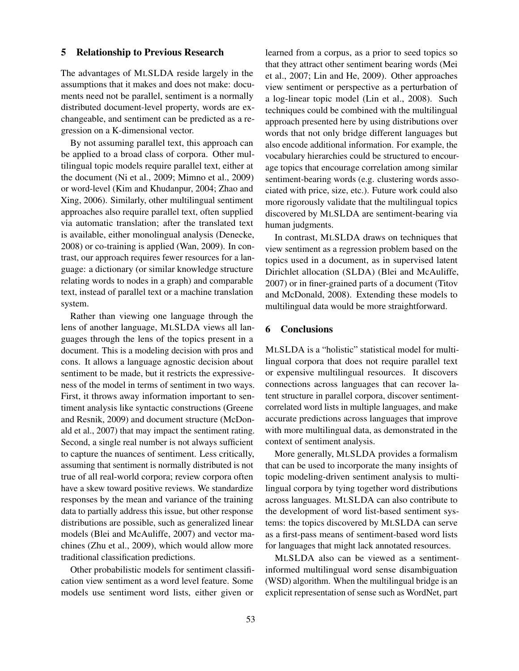# 5 Relationship to Previous Research

The advantages of MLSLDA reside largely in the assumptions that it makes and does not make: documents need not be parallel, sentiment is a normally distributed document-level property, words are exchangeable, and sentiment can be predicted as a regression on a K-dimensional vector.

By not assuming parallel text, this approach can be applied to a broad class of corpora. Other multilingual topic models require parallel text, either at the document (Ni et al., 2009; Mimno et al., 2009) or word-level (Kim and Khudanpur, 2004; Zhao and Xing, 2006). Similarly, other multilingual sentiment approaches also require parallel text, often supplied via automatic translation; after the translated text is available, either monolingual analysis (Denecke, 2008) or co-training is applied (Wan, 2009). In contrast, our approach requires fewer resources for a language: a dictionary (or similar knowledge structure relating words to nodes in a graph) and comparable text, instead of parallel text or a machine translation system.

Rather than viewing one language through the lens of another language, MLSLDA views all languages through the lens of the topics present in a document. This is a modeling decision with pros and cons. It allows a language agnostic decision about sentiment to be made, but it restricts the expressiveness of the model in terms of sentiment in two ways. First, it throws away information important to sentiment analysis like syntactic constructions (Greene and Resnik, 2009) and document structure (McDonald et al., 2007) that may impact the sentiment rating. Second, a single real number is not always sufficient to capture the nuances of sentiment. Less critically, assuming that sentiment is normally distributed is not true of all real-world corpora; review corpora often have a skew toward positive reviews. We standardize responses by the mean and variance of the training data to partially address this issue, but other response distributions are possible, such as generalized linear models (Blei and McAuliffe, 2007) and vector machines (Zhu et al., 2009), which would allow more traditional classification predictions.

Other probabilistic models for sentiment classification view sentiment as a word level feature. Some models use sentiment word lists, either given or

learned from a corpus, as a prior to seed topics so that they attract other sentiment bearing words (Mei et al., 2007; Lin and He, 2009). Other approaches view sentiment or perspective as a perturbation of a log-linear topic model (Lin et al., 2008). Such techniques could be combined with the multilingual approach presented here by using distributions over words that not only bridge different languages but also encode additional information. For example, the vocabulary hierarchies could be structured to encourage topics that encourage correlation among similar sentiment-bearing words (e.g. clustering words associated with price, size, etc.). Future work could also more rigorously validate that the multilingual topics discovered by MLSLDA are sentiment-bearing via human judgments.

In contrast, MLSLDA draws on techniques that view sentiment as a regression problem based on the topics used in a document, as in supervised latent Dirichlet allocation (SLDA) (Blei and McAuliffe, 2007) or in finer-grained parts of a document (Titov and McDonald, 2008). Extending these models to multilingual data would be more straightforward.

## 6 Conclusions

MLSLDA is a "holistic" statistical model for multilingual corpora that does not require parallel text or expensive multilingual resources. It discovers connections across languages that can recover latent structure in parallel corpora, discover sentimentcorrelated word lists in multiple languages, and make accurate predictions across languages that improve with more multilingual data, as demonstrated in the context of sentiment analysis.

More generally, MLSLDA provides a formalism that can be used to incorporate the many insights of topic modeling-driven sentiment analysis to multilingual corpora by tying together word distributions across languages. MLSLDA can also contribute to the development of word list-based sentiment systems: the topics discovered by MLSLDA can serve as a first-pass means of sentiment-based word lists for languages that might lack annotated resources.

MLSLDA also can be viewed as a sentimentinformed multilingual word sense disambiguation (WSD) algorithm. When the multilingual bridge is an explicit representation of sense such as WordNet, part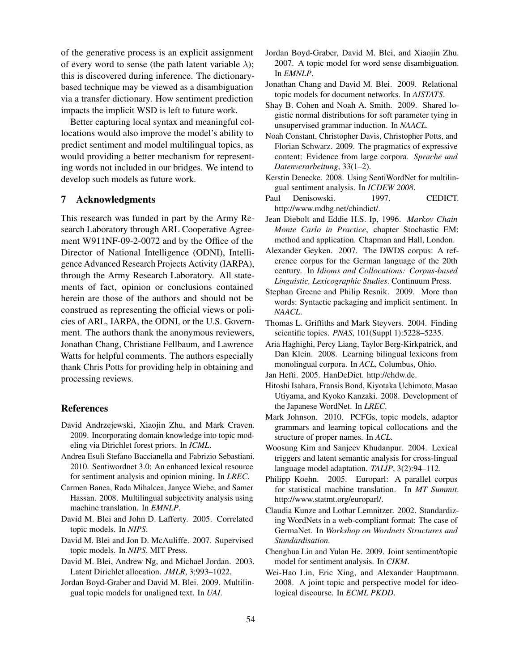of the generative process is an explicit assignment of every word to sense (the path latent variable  $\lambda$ ); this is discovered during inference. The dictionarybased technique may be viewed as a disambiguation via a transfer dictionary. How sentiment prediction impacts the implicit WSD is left to future work.

Better capturing local syntax and meaningful collocations would also improve the model's ability to predict sentiment and model multilingual topics, as would providing a better mechanism for representing words not included in our bridges. We intend to develop such models as future work.

## 7 Acknowledgments

This research was funded in part by the Army Research Laboratory through ARL Cooperative Agreement W911NF-09-2-0072 and by the Office of the Director of National Intelligence (ODNI), Intelligence Advanced Research Projects Activity (IARPA), through the Army Research Laboratory. All statements of fact, opinion or conclusions contained herein are those of the authors and should not be construed as representing the official views or policies of ARL, IARPA, the ODNI, or the U.S. Government. The authors thank the anonymous reviewers, Jonathan Chang, Christiane Fellbaum, and Lawrence Watts for helpful comments. The authors especially thank Chris Potts for providing help in obtaining and processing reviews.

#### References

- David Andrzejewski, Xiaojin Zhu, and Mark Craven. 2009. Incorporating domain knowledge into topic modeling via Dirichlet forest priors. In *ICML*.
- Andrea Esuli Stefano Baccianella and Fabrizio Sebastiani. 2010. Sentiwordnet 3.0: An enhanced lexical resource for sentiment analysis and opinion mining. In *LREC*.
- Carmen Banea, Rada Mihalcea, Janyce Wiebe, and Samer Hassan. 2008. Multilingual subjectivity analysis using machine translation. In *EMNLP*.
- David M. Blei and John D. Lafferty. 2005. Correlated topic models. In *NIPS*.
- David M. Blei and Jon D. McAuliffe. 2007. Supervised topic models. In *NIPS*. MIT Press.
- David M. Blei, Andrew Ng, and Michael Jordan. 2003. Latent Dirichlet allocation. *JMLR*, 3:993–1022.
- Jordan Boyd-Graber and David M. Blei. 2009. Multilingual topic models for unaligned text. In *UAI*.
- Jordan Boyd-Graber, David M. Blei, and Xiaojin Zhu. 2007. A topic model for word sense disambiguation. In *EMNLP*.
- Jonathan Chang and David M. Blei. 2009. Relational topic models for document networks. In *AISTATS*.
- Shay B. Cohen and Noah A. Smith. 2009. Shared logistic normal distributions for soft parameter tying in unsupervised grammar induction. In *NAACL*.
- Noah Constant, Christopher Davis, Christopher Potts, and Florian Schwarz. 2009. The pragmatics of expressive content: Evidence from large corpora. *Sprache und Datenverarbeitung*, 33(1–2).
- Kerstin Denecke. 2008. Using SentiWordNet for multilingual sentiment analysis. In *ICDEW 2008*.
- Paul Denisowski. 1997. CEDICT. http://www.mdbg.net/chindict/.
- Jean Diebolt and Eddie H.S. Ip, 1996. *Markov Chain Monte Carlo in Practice*, chapter Stochastic EM: method and application. Chapman and Hall, London.
- Alexander Geyken. 2007. The DWDS corpus: A reference corpus for the German language of the 20th century. In *Idioms and Collocations: Corpus-based Linguistic, Lexicographic Studies*. Continuum Press.
- Stephan Greene and Philip Resnik. 2009. More than words: Syntactic packaging and implicit sentiment. In *NAACL*.
- Thomas L. Griffiths and Mark Steyvers. 2004. Finding scientific topics. *PNAS*, 101(Suppl 1):5228–5235.
- Aria Haghighi, Percy Liang, Taylor Berg-Kirkpatrick, and Dan Klein. 2008. Learning bilingual lexicons from monolingual corpora. In *ACL*, Columbus, Ohio.
- Jan Hefti. 2005. HanDeDict. http://chdw.de.
- Hitoshi Isahara, Fransis Bond, Kiyotaka Uchimoto, Masao Utiyama, and Kyoko Kanzaki. 2008. Development of the Japanese WordNet. In *LREC*.
- Mark Johnson. 2010. PCFGs, topic models, adaptor grammars and learning topical collocations and the structure of proper names. In *ACL*.
- Woosung Kim and Sanjeev Khudanpur. 2004. Lexical triggers and latent semantic analysis for cross-lingual language model adaptation. *TALIP*, 3(2):94–112.
- Philipp Koehn. 2005. Europarl: A parallel corpus for statistical machine translation. In *MT Summit*. http://www.statmt.org/europarl/.
- Claudia Kunze and Lothar Lemnitzer. 2002. Standardizing WordNets in a web-compliant format: The case of GermaNet. In *Workshop on Wordnets Structures and Standardisation*.
- Chenghua Lin and Yulan He. 2009. Joint sentiment/topic model for sentiment analysis. In *CIKM*.
- Wei-Hao Lin, Eric Xing, and Alexander Hauptmann. 2008. A joint topic and perspective model for ideological discourse. In *ECML PKDD*.